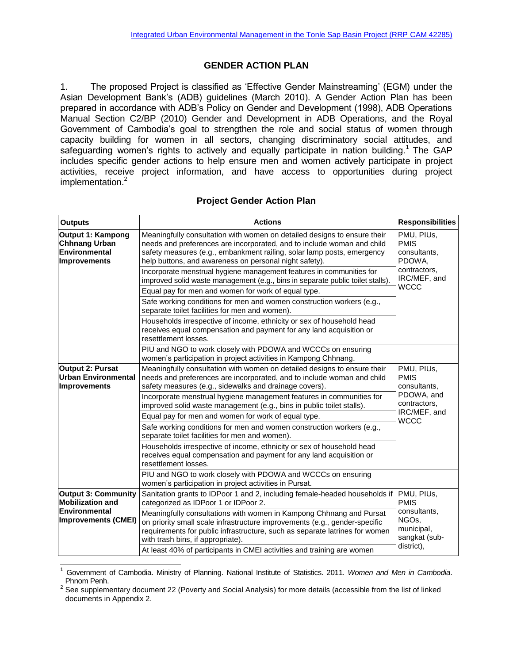## **GENDER ACTION PLAN**

1. The proposed Project is classified as 'Effective Gender Mainstreaming' (EGM) under the Asian Development Bank's (ADB) guidelines (March 2010). A Gender Action Plan has been prepared in accordance with ADB's Policy on Gender and Development (1998), ADB Operations Manual Section C2/BP (2010) Gender and Development in ADB Operations, and the Royal Government of Cambodia's goal to strengthen the role and social status of women through capacity building for women in all sectors, changing discriminatory social attitudes, and safeguarding women's rights to actively and equally participate in nation building.<sup>1</sup> The GAP includes specific gender actions to help ensure men and women actively participate in project activities, receive project information, and have access to opportunities during project implementation.<sup>2</sup>

## **Project Gender Action Plan**

| <b>Outputs</b>                                                                                              | <b>Actions</b>                                                                                                                                                                                                                                                                         | <b>Responsibilities</b>                                                                         |
|-------------------------------------------------------------------------------------------------------------|----------------------------------------------------------------------------------------------------------------------------------------------------------------------------------------------------------------------------------------------------------------------------------------|-------------------------------------------------------------------------------------------------|
| Output 1: Kampong<br><b>Chhnang Urban</b><br>Environmental<br><b>Improvements</b>                           | Meaningfully consultation with women on detailed designs to ensure their<br>needs and preferences are incorporated, and to include woman and child<br>safety measures (e.g., embankment railing, solar lamp posts, emergency<br>help buttons, and awareness on personal night safety). | PMU, PIUs,<br><b>PMIS</b><br>consultants,<br>PDOWA,<br>contractors,<br>IRC/MEF, and             |
|                                                                                                             | Incorporate menstrual hygiene management features in communities for<br>improved solid waste management (e.g., bins in separate public toilet stalls).                                                                                                                                 |                                                                                                 |
|                                                                                                             | Equal pay for men and women for work of equal type.                                                                                                                                                                                                                                    | <b>WCCC</b>                                                                                     |
|                                                                                                             | Safe working conditions for men and women construction workers (e.g.,<br>separate toilet facilities for men and women).                                                                                                                                                                |                                                                                                 |
|                                                                                                             | Households irrespective of income, ethnicity or sex of household head<br>receives equal compensation and payment for any land acquisition or<br>resettlement losses.                                                                                                                   |                                                                                                 |
|                                                                                                             | PIU and NGO to work closely with PDOWA and WCCCs on ensuring<br>women's participation in project activities in Kampong Chhnang.                                                                                                                                                        |                                                                                                 |
| <b>Output 2: Pursat</b><br><b>Urban Environmental</b><br>Improvements                                       | Meaningfully consultation with women on detailed designs to ensure their<br>needs and preferences are incorporated, and to include woman and child<br>safety measures (e.g., sidewalks and drainage covers).                                                                           | PMU, PIUs,<br><b>PMIS</b><br>consultants,<br>PDOWA, and<br>contractors,                         |
|                                                                                                             | Incorporate menstrual hygiene management features in communities for<br>improved solid waste management (e.g., bins in public toilet stalls).                                                                                                                                          |                                                                                                 |
|                                                                                                             | Equal pay for men and women for work of equal type.                                                                                                                                                                                                                                    | IRC/MEF, and<br><b>WCCC</b>                                                                     |
|                                                                                                             | Safe working conditions for men and women construction workers (e.g.,<br>separate toilet facilities for men and women).                                                                                                                                                                |                                                                                                 |
|                                                                                                             | Households irrespective of income, ethnicity or sex of household head<br>receives equal compensation and payment for any land acquisition or<br>resettlement losses.                                                                                                                   |                                                                                                 |
|                                                                                                             | PIU and NGO to work closely with PDOWA and WCCCs on ensuring<br>women's participation in project activities in Pursat.                                                                                                                                                                 |                                                                                                 |
| <b>Output 3: Community</b><br><b>Mobilization and</b><br><b>Environmental</b><br><b>Improvements (CMEI)</b> | Sanitation grants to IDPoor 1 and 2, including female-headed households if<br>categorized as IDPoor 1 or IDPoor 2.                                                                                                                                                                     | PMU, PIUs,<br><b>PMIS</b><br>consultants,<br>NGOs,<br>municipal,<br>sangkat (sub-<br>district), |
|                                                                                                             | Meaningfully consultations with women in Kampong Chhnang and Pursat<br>on priority small scale infrastructure improvements (e.g., gender-specific<br>requirements for public infrastructure, such as separate latrines for women<br>with trash bins, if appropriate).                  |                                                                                                 |
|                                                                                                             | At least 40% of participants in CMEI activities and training are women                                                                                                                                                                                                                 |                                                                                                 |

l <sup>1</sup> Government of Cambodia. Ministry of Planning. National Institute of Statistics. 2011. *Women and Men in Cambodia*. Phnom Penh.

 $2$  See supplementary document 22 (Poverty and Social Analysis) for more details (accessible from the list of linked documents in Appendix 2.